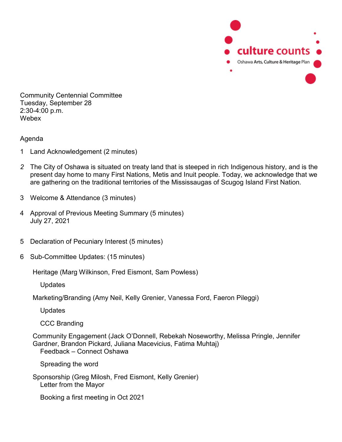

Community Centennial Committee Tuesday, September 28 2:30-4:00 p.m. Webex

Agenda

- 1 Land Acknowledgement (2 minutes)
- *2* The City of Oshawa is situated on treaty land that is steeped in rich Indigenous history, and is the present day home to many First Nations, Metis and Inuit people. Today, we acknowledge that we are gathering on the traditional territories of the Mississaugas of Scugog Island First Nation*.*
- 3 Welcome & Attendance (3 minutes)
- 4 Approval of Previous Meeting Summary (5 minutes) July 27, 2021
- 5 Declaration of Pecuniary Interest (5 minutes)
- 6 Sub-Committee Updates: (15 minutes)

Heritage (Marg Wilkinson, Fred Eismont, Sam Powless)

**Updates** 

Marketing/Branding (Amy Neil, Kelly Grenier, Vanessa Ford, Faeron Pileggi)

Updates

CCC Branding

Community Engagement (Jack O'Donnell, Rebekah Noseworthy, Melissa Pringle, Jennifer Gardner, Brandon Pickard, Juliana Macevicius, Fatima Muhtaj) Feedback – Connect Oshawa

Spreading the word

Sponsorship (Greg Milosh, Fred Eismont, Kelly Grenier) Letter from the Mayor

Booking a first meeting in Oct 2021